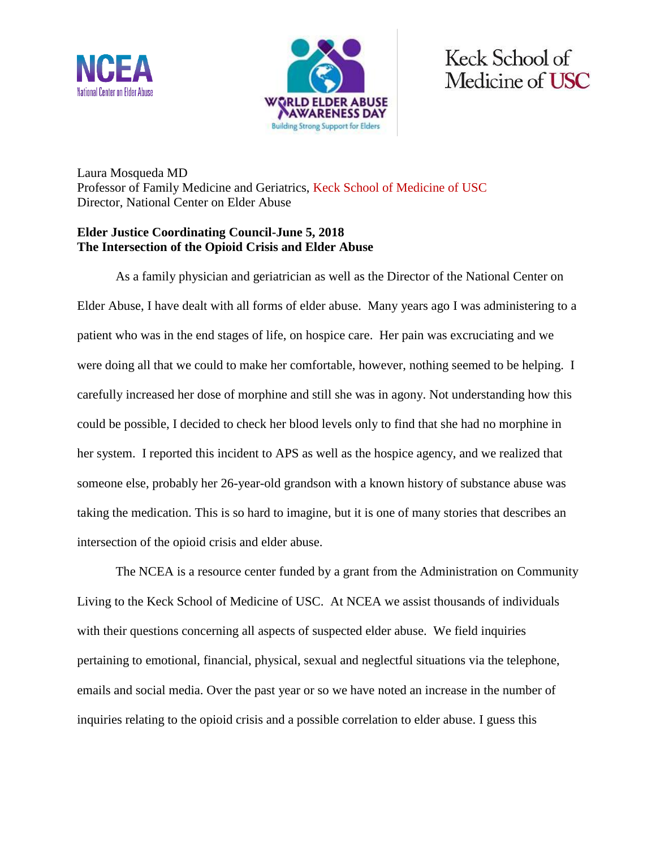



Keck School of Medicine of USC

Laura Mosqueda MD Professor of Family Medicine and Geriatrics, Keck School of Medicine of USC Director, National Center on Elder Abuse

## **Elder Justice Coordinating Council-June 5, 2018 The Intersection of the Opioid Crisis and Elder Abuse**

As a family physician and geriatrician as well as the Director of the National Center on Elder Abuse, I have dealt with all forms of elder abuse. Many years ago I was administering to a patient who was in the end stages of life, on hospice care. Her pain was excruciating and we were doing all that we could to make her comfortable, however, nothing seemed to be helping. I carefully increased her dose of morphine and still she was in agony. Not understanding how this could be possible, I decided to check her blood levels only to find that she had no morphine in her system. I reported this incident to APS as well as the hospice agency, and we realized that someone else, probably her 26-year-old grandson with a known history of substance abuse was taking the medication. This is so hard to imagine, but it is one of many stories that describes an intersection of the opioid crisis and elder abuse.

The NCEA is a resource center funded by a grant from the Administration on Community Living to the Keck School of Medicine of USC. At NCEA we assist thousands of individuals with their questions concerning all aspects of suspected elder abuse. We field inquiries pertaining to emotional, financial, physical, sexual and neglectful situations via the telephone, emails and social media. Over the past year or so we have noted an increase in the number of inquiries relating to the opioid crisis and a possible correlation to elder abuse. I guess this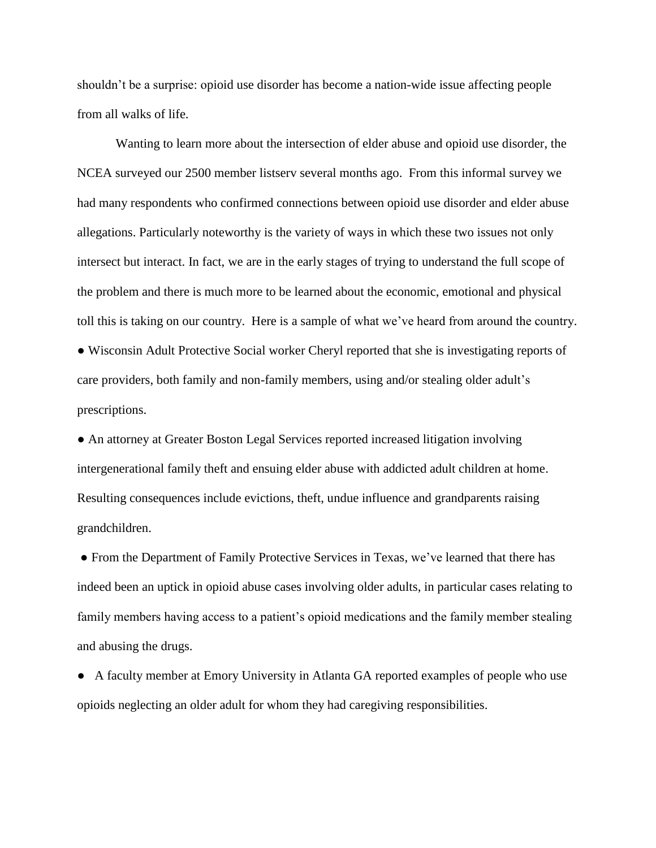shouldn't be a surprise: opioid use disorder has become a nation-wide issue affecting people from all walks of life.

Wanting to learn more about the intersection of elder abuse and opioid use disorder, the NCEA surveyed our 2500 member listserv several months ago. From this informal survey we had many respondents who confirmed connections between opioid use disorder and elder abuse allegations. Particularly noteworthy is the variety of ways in which these two issues not only intersect but interact. In fact, we are in the early stages of trying to understand the full scope of the problem and there is much more to be learned about the economic, emotional and physical toll this is taking on our country. Here is a sample of what we've heard from around the country. ● Wisconsin Adult Protective Social worker Cheryl reported that she is investigating reports of care providers, both family and non-family members, using and/or stealing older adult's

prescriptions.

● An attorney at Greater Boston Legal Services reported increased litigation involving intergenerational family theft and ensuing elder abuse with addicted adult children at home. Resulting consequences include evictions, theft, undue influence and grandparents raising grandchildren.

● From the Department of Family Protective Services in Texas, we've learned that there has indeed been an uptick in opioid abuse cases involving older adults, in particular cases relating to family members having access to a patient's opioid medications and the family member stealing and abusing the drugs.

● A faculty member at Emory University in Atlanta GA reported examples of people who use opioids neglecting an older adult for whom they had caregiving responsibilities.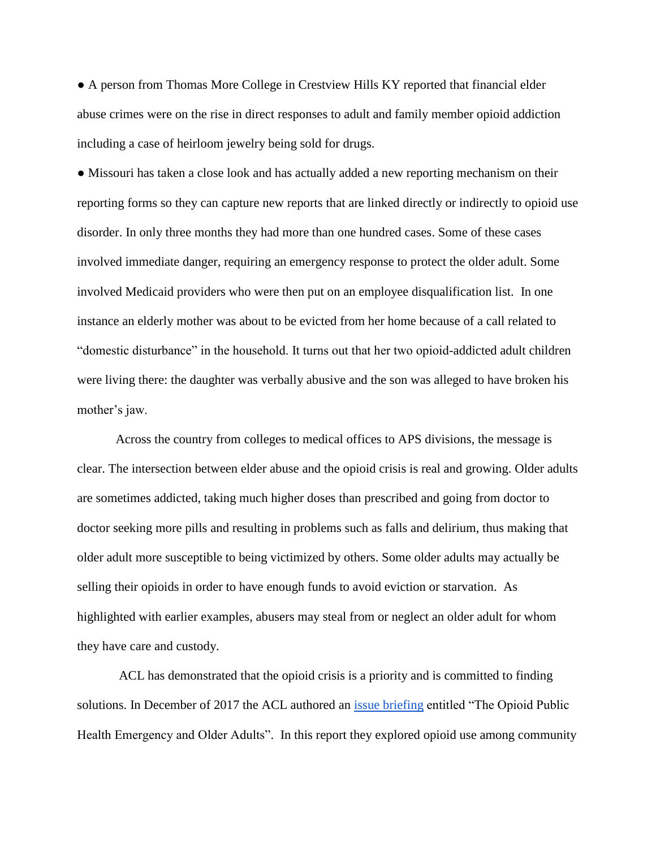● A person from Thomas More College in Crestview Hills KY reported that financial elder abuse crimes were on the rise in direct responses to adult and family member opioid addiction including a case of heirloom jewelry being sold for drugs.

• Missouri has taken a close look and has actually added a new reporting mechanism on their reporting forms so they can capture new reports that are linked directly or indirectly to opioid use disorder. In only three months they had more than one hundred cases. Some of these cases involved immediate danger, requiring an emergency response to protect the older adult. Some involved Medicaid providers who were then put on an employee disqualification list. In one instance an elderly mother was about to be evicted from her home because of a call related to "domestic disturbance" in the household. It turns out that her two opioid-addicted adult children were living there: the daughter was verbally abusive and the son was alleged to have broken his mother's jaw.

Across the country from colleges to medical offices to APS divisions, the message is clear. The intersection between elder abuse and the opioid crisis is real and growing. Older adults are sometimes addicted, taking much higher doses than prescribed and going from doctor to doctor seeking more pills and resulting in problems such as falls and delirium, thus making that older adult more susceptible to being victimized by others. Some older adults may actually be selling their opioids in order to have enough funds to avoid eviction or starvation. As highlighted with earlier examples, abusers may steal from or neglect an older adult for whom they have care and custody.

ACL has demonstrated that the opioid crisis is a priority and is committed to finding solutions. In December of 2017 the ACL authored an [issue briefing](http://theconsumervoice.org/uploads/files/general/ACL_Issue_Brief_-_Opioid_Abuse_and_Older_Adults_-_Dec2017.pdf) entitled "The Opioid Public Health Emergency and Older Adults". In this report they explored opioid use among community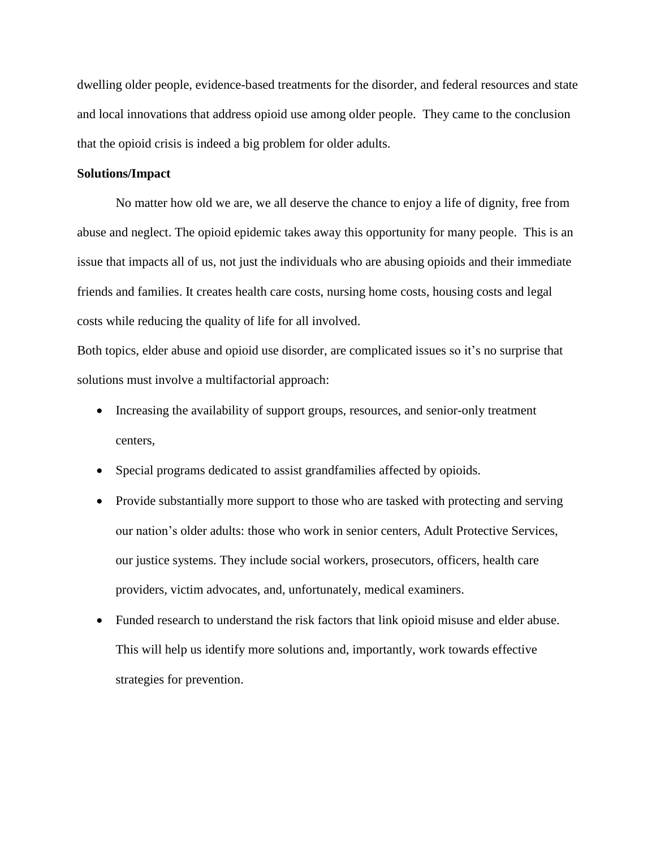dwelling older people, evidence-based treatments for the disorder, and federal resources and state and local innovations that address opioid use among older people. They came to the conclusion that the opioid crisis is indeed a big problem for older adults.

## **Solutions/Impact**

No matter how old we are, we all deserve the chance to enjoy a life of dignity, free from abuse and neglect. The opioid epidemic takes away this opportunity for many people. This is an issue that impacts all of us, not just the individuals who are abusing opioids and their immediate friends and families. It creates health care costs, nursing home costs, housing costs and legal costs while reducing the quality of life for all involved.

Both topics, elder abuse and opioid use disorder, are complicated issues so it's no surprise that solutions must involve a multifactorial approach:

- Increasing the availability of support groups, resources, and senior-only treatment centers,
- Special programs dedicated to assist grandfamilies affected by opioids.
- Provide substantially more support to those who are tasked with protecting and serving our nation's older adults: those who work in senior centers, Adult Protective Services, our justice systems. They include social workers, prosecutors, officers, health care providers, victim advocates, and, unfortunately, medical examiners.
- Funded research to understand the risk factors that link opioid misuse and elder abuse. This will help us identify more solutions and, importantly, work towards effective strategies for prevention.